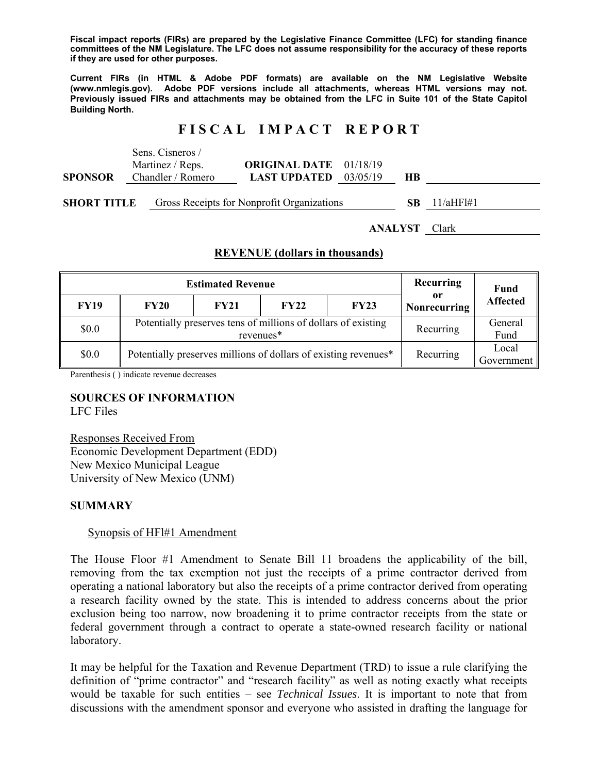**Fiscal impact reports (FIRs) are prepared by the Legislative Finance Committee (LFC) for standing finance committees of the NM Legislature. The LFC does not assume responsibility for the accuracy of these reports if they are used for other purposes.** 

**Current FIRs (in HTML & Adobe PDF formats) are available on the NM Legislative Website (www.nmlegis.gov). Adobe PDF versions include all attachments, whereas HTML versions may not. Previously issued FIRs and attachments may be obtained from the LFC in Suite 101 of the State Capitol Building North.**

# **F I S C A L I M P A C T R E P O R T**

|                | Sens. Cisneros /  |                                |           |                  |
|----------------|-------------------|--------------------------------|-----------|------------------|
|                | Martinez / Reps.  | <b>ORIGINAL DATE</b> 01/18/19  |           |                  |
| <b>SPONSOR</b> | Chandler / Romero | <b>LAST UPDATED</b> $03/05/19$ | <b>HB</b> |                  |
|                |                   |                                |           |                  |
|                |                   |                                |           | $CD = 11/TT1111$ |

**SHORT TITLE** Gross Receipts for Nonprofit Organizations **SB** 11/aHFl#1

**ANALYST** Clark

## **REVENUE (dollars in thousands)**

|             | <b>Estimated Revenue</b>                                        | Recurring                                                                  | <b>Fund</b> |                     |                           |                 |
|-------------|-----------------------------------------------------------------|----------------------------------------------------------------------------|-------------|---------------------|---------------------------|-----------------|
| <b>FY19</b> | <b>FY20</b>                                                     | <b>FY21</b>                                                                | <b>FY22</b> | FY23                | or<br><b>Nonrecurring</b> | <b>Affected</b> |
| \$0.0       |                                                                 | Potentially preserves tens of millions of dollars of existing<br>revenues* | Recurring   | General<br>Fund     |                           |                 |
| \$0.0       | Potentially preserves millions of dollars of existing revenues* |                                                                            | Recurring   | Local<br>Government |                           |                 |

Parenthesis ( ) indicate revenue decreases

# **SOURCES OF INFORMATION**

LFC Files

Responses Received From Economic Development Department (EDD) New Mexico Municipal League University of New Mexico (UNM)

### **SUMMARY**

### Synopsis of HFl#1 Amendment

The House Floor #1 Amendment to Senate Bill 11 broadens the applicability of the bill, removing from the tax exemption not just the receipts of a prime contractor derived from operating a national laboratory but also the receipts of a prime contractor derived from operating a research facility owned by the state. This is intended to address concerns about the prior exclusion being too narrow, now broadening it to prime contractor receipts from the state or federal government through a contract to operate a state-owned research facility or national laboratory.

It may be helpful for the Taxation and Revenue Department (TRD) to issue a rule clarifying the definition of "prime contractor" and "research facility" as well as noting exactly what receipts would be taxable for such entities – see *Technical Issues*. It is important to note that from discussions with the amendment sponsor and everyone who assisted in drafting the language for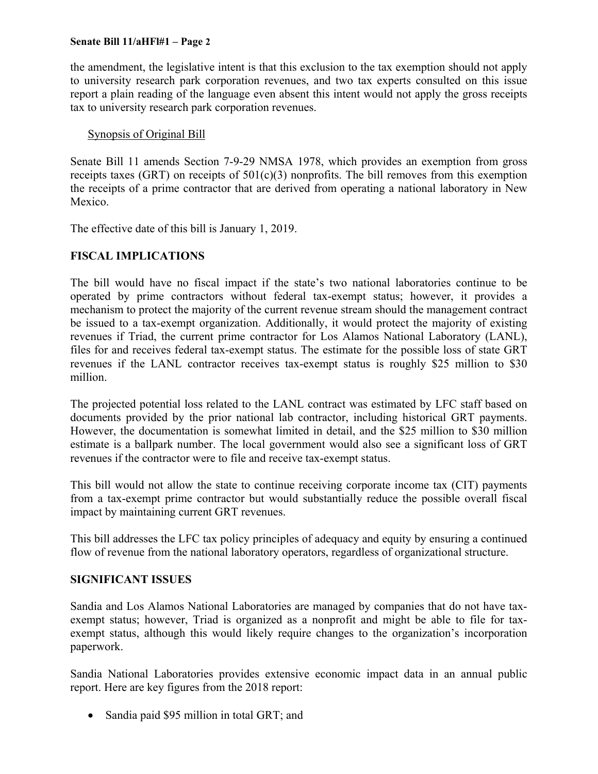#### **Senate Bill 11/aHFl#1 – Page 2**

the amendment, the legislative intent is that this exclusion to the tax exemption should not apply to university research park corporation revenues, and two tax experts consulted on this issue report a plain reading of the language even absent this intent would not apply the gross receipts tax to university research park corporation revenues.

## Synopsis of Original Bill

Senate Bill 11 amends Section 7-9-29 NMSA 1978, which provides an exemption from gross receipts taxes (GRT) on receipts of  $501(c)(3)$  nonprofits. The bill removes from this exemption the receipts of a prime contractor that are derived from operating a national laboratory in New Mexico.

The effective date of this bill is January 1, 2019.

# **FISCAL IMPLICATIONS**

The bill would have no fiscal impact if the state's two national laboratories continue to be operated by prime contractors without federal tax-exempt status; however, it provides a mechanism to protect the majority of the current revenue stream should the management contract be issued to a tax-exempt organization. Additionally, it would protect the majority of existing revenues if Triad, the current prime contractor for Los Alamos National Laboratory (LANL), files for and receives federal tax-exempt status. The estimate for the possible loss of state GRT revenues if the LANL contractor receives tax-exempt status is roughly \$25 million to \$30 million.

The projected potential loss related to the LANL contract was estimated by LFC staff based on documents provided by the prior national lab contractor, including historical GRT payments. However, the documentation is somewhat limited in detail, and the \$25 million to \$30 million estimate is a ballpark number. The local government would also see a significant loss of GRT revenues if the contractor were to file and receive tax-exempt status.

This bill would not allow the state to continue receiving corporate income tax (CIT) payments from a tax-exempt prime contractor but would substantially reduce the possible overall fiscal impact by maintaining current GRT revenues.

This bill addresses the LFC tax policy principles of adequacy and equity by ensuring a continued flow of revenue from the national laboratory operators, regardless of organizational structure.

### **SIGNIFICANT ISSUES**

Sandia and Los Alamos National Laboratories are managed by companies that do not have taxexempt status; however, Triad is organized as a nonprofit and might be able to file for taxexempt status, although this would likely require changes to the organization's incorporation paperwork.

Sandia National Laboratories provides extensive economic impact data in an annual public report. Here are key figures from the 2018 report:

• Sandia paid \$95 million in total GRT; and